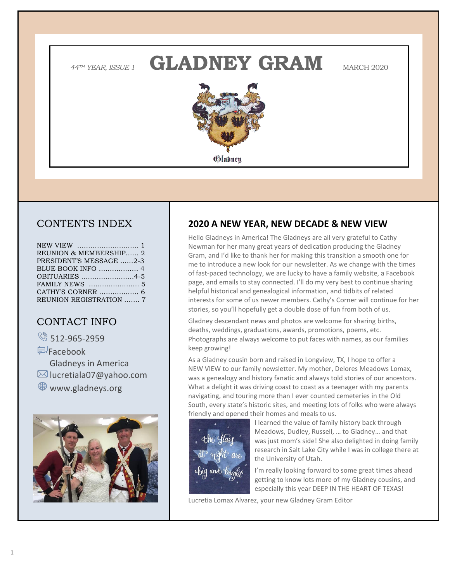*<sup>44</sup>TH YEAR, ISSUE 1* **GLADNEY GRAM** MARCH 2020



# CONTENTS INDEX

| REUNION & MEMBERSHIP 2  |  |
|-------------------------|--|
| PRESIDENT'S MESSAGE 2-3 |  |
|                         |  |
| OBITUARIES 4-5          |  |
|                         |  |
|                         |  |
| REUNION REGISTRATION  7 |  |

# CONTACT INFO

8 512-965-2959

Facebook Gladneys in America  $\boxtimes$  lucretiala07@yahoo.com www.gladneys.org



## **2020 A NEW YEAR, NEW DECADE & NEW VIEW**

Hello Gladneys in America! The Gladneys are all very grateful to Cathy Newman for her many great years of dedication producing the Gladney Gram, and I'd like to thank her for making this transition a smooth one for me to introduce a new look for our newsletter. As we change with the times of fast-paced technology, we are lucky to have a family website, a Facebook page, and emails to stay connected. I'll do my very best to continue sharing helpful historical and genealogical information, and tidbits of related interests for some of us newer members. Cathy's Corner will continue for her stories, so you'll hopefully get a double dose of fun from both of us.

Gladney descendant news and photos are welcome for sharing births, deaths, weddings, graduations, awards, promotions, poems, etc. Photographs are always welcome to put faces with names, as our families keep growing!

As a Gladney cousin born and raised in Longview, TX, I hope to offer a NEW VIEW to our family newsletter. My mother, Delores Meadows Lomax, was a genealogy and history fanatic and always told stories of our ancestors. What a delight it was driving coast to coast as a teenager with my parents navigating, and touring more than I ever counted cemeteries in the Old South, every state's historic sites, and meeting lots of folks who were always friendly and opened their homes and meals to us.



I learned the value of family history back through Meadows, Dudley, Russell, … to Gladney… and that was just mom's side! She also delighted in doing family research in Salt Lake City while I was in college there at the University of Utah.

I'm really looking forward to some great times ahead getting to know lots more of my Gladney cousins, and especially this year DEEP IN THE HEART OF TEXAS!

Lucretia Lomax Alvarez, your new Gladney Gram Editor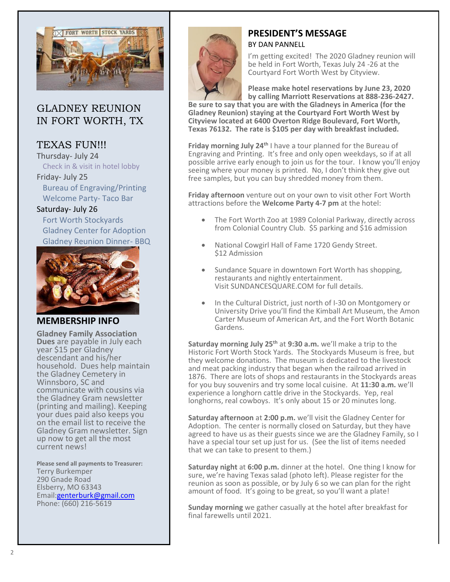

## GLADNEY REUNION IN FORT WORTH, TX

# TEXAS FUN!!!

Thursday- July 24 Check in & visit in hotel lobby Friday- July 25

 Bureau of Engraving/Printing Welcome Party- Taco Bar

Saturday- July 26 Fort Worth Stockyards Gladney Center for Adoption Gladney Reunion Dinner- BBQ



## **MEMBERSHIP INFO**

**Gladney Family Association Dues** are payable in July each year \$15 per Gladney descendant and his/her household. Dues help maintain the Gladney Cemetery in Winnsboro, SC and communicate with cousins via the Gladney Gram newsletter (printing and mailing). Keeping your dues paid also keeps you on the email list to receive the Gladney Gram newsletter. Sign up now to get all the most current news!

**Please send all payments to Treasurer:** Terry Burkemper 290 Gnade Road Elsberry, MO 63343 Email[:genterburk@gmail.com](mailto:genterburk@gmail.com) Phone: (660) 216-5619



# **PRESIDENT'S MESSAGE**

BY DAN PANNELL

I'm getting excited! The 2020 Gladney reunion will be held in Fort Worth, Texas July 24 -26 at the Courtyard Fort Worth West by Cityview.

**Please make hotel reservations by June 23, 2020 by calling Marriott Reservations at 888-236-2427.** 

**Be sure to say that you are with the Gladneys in America (for the Gladney Reunion) staying at the Courtyard Fort Worth West by Cityview located at 6400 Overton Ridge Boulevard, Fort Worth, Texas 76132. The rate is \$105 per day with breakfast included.**

**Friday morning July 24th** I have a tour planned for the Bureau of Engraving and Printing. It's free and only open weekdays, so if at all possible arrive early enough to join us for the tour. I know you'll enjoy seeing where your money is printed. No, I don't think they give out free samples, but you can buy shredded money from them.

**Friday afternoon** venture out on your own to visit other Fort Worth attractions before the **Welcome Party 4-7 pm** at the hotel:

- The Fort Worth Zoo at 1989 Colonial Parkway, directly across from Colonial Country Club. \$5 parking and \$16 admission
- National Cowgirl Hall of Fame 1720 Gendy Street. \$12 Admission
- Sundance Square in downtown Fort Worth has shopping, restaurants and nightly entertainment. Visit SUNDANCESQUARE.COM for full details.
- In the Cultural District, just north of I-30 on Montgomery or University Drive you'll find the Kimball Art Museum, the Amon Carter Museum of American Art, and the Fort Worth Botanic Gardens.

**Saturday morning July 25th** at **9:30 a.m.** we'll make a trip to the Historic Fort Worth Stock Yards. The Stockyards Museum is free, but they welcome donations. The museum is dedicated to the livestock and meat packing industry that began when the railroad arrived in 1876. There are lots of shops and restaurants in the Stockyards areas for you buy souvenirs and try some local cuisine. At **11:30 a.m.** we'll experience a longhorn cattle drive in the Stockyards. Yep, real longhorns, real cowboys. It's only about 15 or 20 minutes long.

**Saturday afternoon** at **2:00 p.m.** we'll visit the Gladney Center for Adoption. The center is normally closed on Saturday, but they have agreed to have us as their guests since we are the Gladney Family, so I have a special tour set up just for us. (See the list of items needed that we can take to present to them.)

**Saturday night** at **6:00 p.m.** dinner at the hotel. One thing I know for sure, we're having Texas salad (photo left). Please register for the reunion as soon as possible, or by July 6 so we can plan for the right amount of food. It's going to be great, so you'll want a plate!

**Sunday morning** we gather casually at the hotel after breakfast for final farewells until 2021.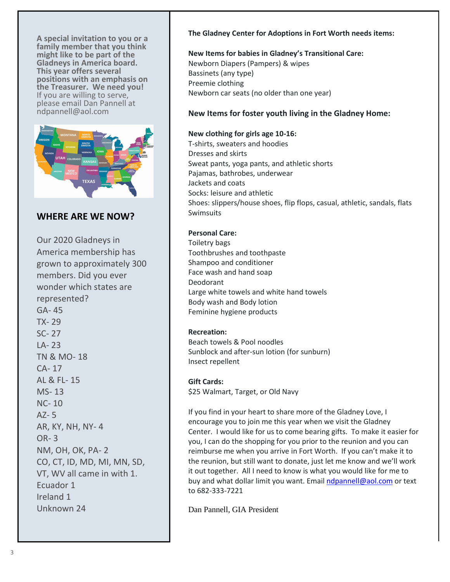**A special invitation to you or a family member that you think might like to be part of the Gladneys in America board. This year offers several positions with an emphasis on the Treasurer. We need you!** If you are willing to serve, please email Dan Pannell at ndpannell@aol.com



## **WHERE ARE WE NOW?**

Our 2020 Gladneys in America membership has grown to approximately 300 members. Did you ever wonder which states are represented? GA- 45 TX- 29 SC- 27 LA- 23 TN & MO- 18 CA- 17 AL & FL- 15 MS- 13 NC- 10 AZ- 5 AR, KY, NH, NY- 4 OR- 3 NM, OH, OK, PA- 2 CO, CT, ID, MD, MI, MN, SD, VT, WV all came in with 1. Ecuador 1 Ireland 1 Unknown 24

#### **The Gladney Center for Adoptions in Fort Worth needs items:**

## **New Items for babies in Gladney's Transitional Care:** Newborn Diapers (Pampers) & wipes Bassinets (any type)

Preemie clothing Newborn car seats (no older than one year)

## **New Items for foster youth living in the Gladney Home:**

#### **New clothing for girls age 10-16:**

T-shirts, sweaters and hoodies Dresses and skirts Sweat pants, yoga pants, and athletic shorts Pajamas, bathrobes, underwear Jackets and coats Socks: leisure and athletic Shoes: slippers/house shoes, flip flops, casual, athletic, sandals, flats Swimsuits

### **Personal Care:**

Toiletry bags Toothbrushes and toothpaste Shampoo and conditioner Face wash and hand soap Deodorant Large white towels and white hand towels Body wash and Body lotion Feminine hygiene products

### **Recreation:**

Beach towels & Pool noodles Sunblock and after-sun lotion (for sunburn) Insect repellent

### **Gift Cards:**

\$25 Walmart, Target, or Old Navy

If you find in your heart to share more of the Gladney Love, I encourage you to join me this year when we visit the Gladney Center. I would like for us to come bearing gifts. To make it easier for you, I can do the shopping for you prior to the reunion and you can reimburse me when you arrive in Fort Worth. If you can't make it to the reunion, but still want to donate, just let me know and we'll work it out together. All I need to know is what you would like for me to buy and what dollar limit you want. Email [ndpannell@aol.com](mailto:ndpannell@aol.com) or text to 682-333-7221

Dan Pannell, GIA President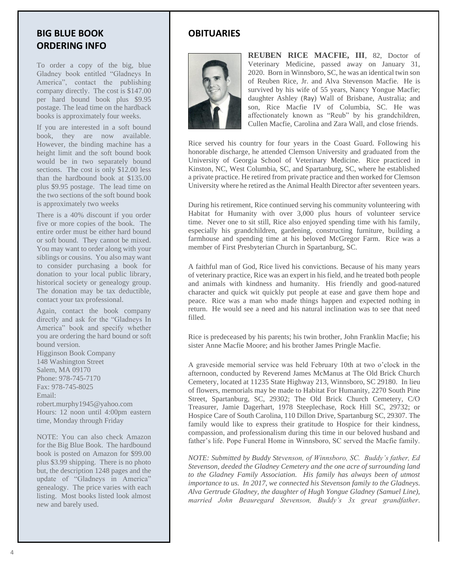## **BIG BLUE BOOK ORDERING INFO**

To order a copy of the big, blue Gladney book entitled "Gladneys In America", contact the publishing company directly. The cost is \$147.00 per hard bound book plus \$9.95 postage. The lead time on the hardback books is approximately four weeks.

If you are interested in a soft bound book, they are now available. However, the binding machine has a height limit and the soft bound book would be in two separately bound sections. The cost is only \$12.00 less than the hardbound book at \$135.00 plus \$9.95 postage. The lead time on the two sections of the soft bound book is approximately two weeks

There is a 40% discount if you order five or more copies of the book. The entire order must be either hard bound or soft bound. They cannot be mixed. You may want to order along with your siblings or cousins. You also may want to consider purchasing a book for donation to your local public library, historical society or genealogy group. The donation may be tax deductible, contact your tax professional.

Again, contact the book company directly and ask for the "Gladneys In America" book and specify whether you are ordering the hard bound or soft bound version. Higginson Book Company 148 Washington Street Salem, MA 09170 Phone: 978-745-7170 Fax: 978-745-8025 Email: robert.murphy1945@yahoo.com Hours: 12 noon until 4:00pm eastern time, Monday through Friday

NOTE: You can also check Amazon for the Big Blue Book. The hardbound book is posted on Amazon for \$99.00 plus \$3.99 shipping. There is no photo but, the description 1248 pages and the update of "Gladneys in America" genealogy. The price varies with each listing. Most books listed look almost new and barely used.

# **OBITUARIES**



**REUBEN RICE MACFIE, III**, 82, Doctor of Veterinary Medicine, passed away on January 31, 2020. Born in Winnsboro, SC, he was an identical twin son of Reuben Rice, Jr. and Alva Stevenson Macfie. He is survived by his wife of 55 years, Nancy Yongue Macfie; daughter Ashley (Ray) Wall of Brisbane, Australia; and son, Rice Macfie IV of Columbia, SC. He was affectionately known as "Reub" by his grandchildren, Cullen Macfie, Carolina and Zara Wall, and close friends.

Rice served his country for four years in the Coast Guard. Following his honorable discharge, he attended Clemson University and graduated from the University of Georgia School of Veterinary Medicine. Rice practiced in Kinston, NC, West Columbia, SC, and Spartanburg, SC, where he established a private practice. He retired from private practice and then worked for Clemson University where he retired as the Animal Health Director after seventeen years.

During his retirement, Rice continued serving his community volunteering with Habitat for Humanity with over 3,000 plus hours of volunteer service time. Never one to sit still, Rice also enjoyed spending time with his family, especially his grandchildren, gardening, constructing furniture, building a farmhouse and spending time at his beloved McGregor Farm. Rice was a member of First Presbyterian Church in Spartanburg, SC.

A faithful man of God, Rice lived his convictions. Because of his many years of veterinary practice, Rice was an expert in his field, and he treated both people and animals with kindness and humanity. His friendly and good-natured character and quick wit quickly put people at ease and gave them hope and peace. Rice was a man who made things happen and expected nothing in return. He would see a need and his natural inclination was to see that need filled.

Rice is predeceased by his parents; his twin brother, John Franklin Macfie; his sister Anne Macfie Moore; and his brother James Pringle Macfie.

A graveside memorial service was held February 10th at two o'clock in the afternoon, conducted by Reverend James McManus at The Old Brick Church Cemetery, located at 11235 State Highway 213, Winnsboro, SC 29180. In lieu of flowers, memorials may be made to Habitat For Humanity, 2270 South Pine Street, Spartanburg, SC, 29302; The Old Brick Church Cemetery, C/O Treasurer, Jamie Dagerhart, 1978 Steeplechase, Rock Hill SC, 29732; or Hospice Care of South Carolina, 110 Dillon Drive, Spartanburg SC, 29307. The family would like to express their gratitude to Hospice for their kindness, compassion, and professionalism during this time in our beloved husband and father's life. Pope Funeral Home in Winnsboro, SC served the Macfie family.

*NOTE: Submitted by Buddy Stevenson, of Winnsboro, SC. Buddy's father, Ed Stevenson, deeded the Gladney Cemetery and the one acre of surrounding land to the Gladney Family Association. His family has always been of utmost importance to us. In 2017, we connected his Stevenson family to the Gladneys. Alva Gertrude Gladney, the daughter of Hugh Yongue Gladney (Samuel Line), married John Beauregard Stevenson, Buddy's 3x great grandfather.*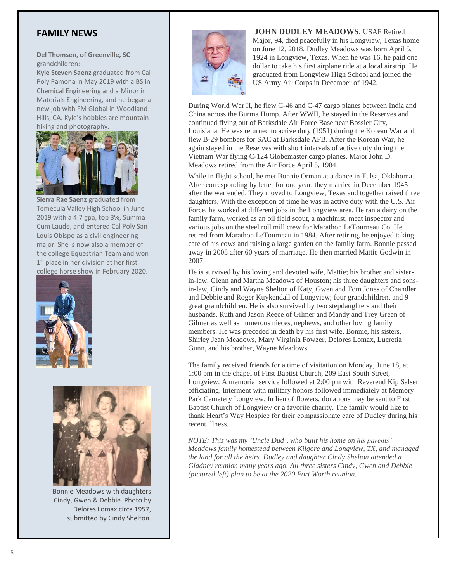## **FAMILY NEWS**

**Del Thomsen, of Greenville, SC**  grandchildren:

**Kyle Steven Saenz** graduated from Cal Poly Pamona in May 2019 with a BS in Chemical Engineering and a Minor in Materials Engineering, and he began a new job with FM Global in Woodland Hills, CA. Kyle's hobbies are mountain hiking and photography.



**Sierra Rae Saenz** graduated from Temecula Valley High School in June 2019 with a 4.7 gpa, top 3%, Summa Cum Laude, and entered Cal Poly San Louis Obispo as a civil engineering major. She is now also a member of the college Equestrian Team and won 1<sup>st</sup> place in her division at her first college horse show in February 2020.





Bonnie Meadows with daughters Cindy, Gwen & Debbie. Photo by Delores Lomax circa 1957, submitted by Cindy Shelton.



**JOHN DUDLEY MEADOWS**, USAF Retired Major, 94, died peacefully in his Longview, Texas home on June 12, 2018. Dudley Meadows was born April 5, 1924 in Longview, Texas. When he was 16, he paid one dollar to take his first airplane ride at a local airstrip. He graduated from Longview High School and joined the US Army Air Corps in December of 1942.

During World War II, he flew C-46 and C-47 cargo planes between India and China across the Burma Hump. After WWII, he stayed in the Reserves and continued flying out of Barksdale Air Force Base near Bossier City, Louisiana. He was returned to active duty (1951) during the Korean War and flew B-29 bombers for SAC at Barksdale AFB. After the Korean War, he again stayed in the Reserves with short intervals of active duty during the Vietnam War flying C-124 Globemaster cargo planes. Major John D. Meadows retired from the Air Force April 5, 1984.

While in flight school, he met Bonnie Orman at a dance in Tulsa, Oklahoma. After corresponding by letter for one year, they married in December 1945 after the war ended. They moved to Longview, Texas and together raised three daughters. With the exception of time he was in active duty with the U.S. Air Force, he worked at different jobs in the Longview area. He ran a dairy on the family farm, worked as an oil field scout, a machinist, meat inspector and various jobs on the steel roll mill crew for Marathon LeTourneau Co. He retired from Marathon LeTourneau in 1984. After retiring, he enjoyed taking care of his cows and raising a large garden on the family farm. Bonnie passed away in 2005 after 60 years of marriage. He then married Mattie Godwin in 2007.

He is survived by his loving and devoted wife, Mattie; his brother and sisterin-law, Glenn and Martha Meadows of Houston; his three daughters and sonsin-law, Cindy and Wayne Shelton of Katy, Gwen and Tom Jones of Chandler and Debbie and Roger Kuykendall of Longview; four grandchildren, and 9 great grandchildren. He is also survived by two stepdaughters and their husbands, Ruth and Jason Reece of Gilmer and Mandy and Trey Green of Gilmer as well as numerous nieces, nephews, and other loving family members. He was preceded in death by his first wife, Bonnie, his sisters, Shirley Jean Meadows, Mary Virginia Fowzer, Delores Lomax, Lucretia Gunn, and his brother, Wayne Meadows.

The family received friends for a time of visitation on Monday, June 18, at 1:00 pm in the chapel of First Baptist Church, 209 East South Street, Longview. A memorial service followed at 2:00 pm with Reverend Kip Salser officiating. Interment with military honors followed immediately at Memory Park Cemetery Longview. In lieu of flowers, donations may be sent to First Baptist Church of Longview or a favorite charity. The family would like to thank Heart's Way Hospice for their compassionate care of Dudley during his recent illness.

*NOTE: This was my 'Uncle Dud', who built his home on his parents' Meadows family homestead between Kilgore and Longview, TX, and managed the land for all the heirs. Dudley and daughter Cindy Shelton attended a Gladney reunion many years ago. All three sisters Cindy, Gwen and Debbie (pictured left) plan to be at the 2020 Fort Worth reunion.*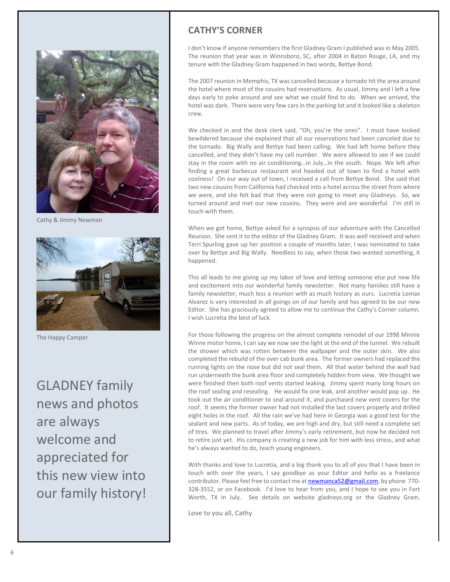

Cathy & Jimmy Newman



The Happy Camper

GLADNEY family news and photos are always welcome and appreciated for this new view into our family history!

## **CATHY'S CORNER**

I don't know if anyone remembers the first Gladney Gram I published was in May 2005. The reunion that year was in Winnsboro, SC, after 2004 in Baton Rouge, LA, and my tenure with the Gladney Gram happened in two words, Bettye Bond.

The 2007 reunion in Memphis, TX was cancelled because a tornado hit the area around the hotel where most of the cousins had reservations. As usual, Jimmy and I left a few days early to poke around and see what we could find to do. When we arrived, the hotel was dark. There were very few cars in the parking lot and it looked like a skeleton crew.

We checked in and the desk clerk said, "Oh, you're the ones". I must have looked bewildered because she explained that all our reservations had been canceled due to the tornado. Big Wally and Bettye had been calling. We had left home before they cancelled, and they didn't have my cell number. We were allowed to see if we could stay in the room with no air conditioning…in July…in the south. Nope. We left after finding a great barbecue restaurant and headed out of town to find a hotel with coolness! On our way out of town, I received a call from Bettye Bond. She said that two new cousins from California had checked into a hotel across the street from where we were, and she felt bad that they were not going to meet any Gladneys. So, we turned around and met our new cousins. They were and are wonderful. I'm still in touch with them.

When we got home, Bettye asked for a synopsis of our adventure with the Cancelled Reunion. She sent it to the editor of the Gladney Gram. It was well received and when Terri Spurling gave up her position a couple of months later, I was nominated to take over by Bettye and Big Wally. Needless to say, when those two wanted something, it happened.

This all leads to me giving up my labor of love and letting someone else put new life and excitement into our wonderful family newsletter. Not many families still have a family newsletter, much less a reunion with as much history as ours. Lucretia Lomax Alvarez is very interested in all goings on of our family and has agreed to be our new Editor. She has graciously agreed to allow me to continue the Cathy's Corner column. I wish Lucretia the best of luck.

For those following the progress on the almost complete remodel of our 1998 Minnie Winne motor home, I can say we now see the light at the end of the tunnel. We rebuilt the shower which was rotten between the wallpaper and the outer skin. We also completed the rebuild of the over cab bunk area. The former owners had replaced the running lights on the nose but did not seal them. All that water behind the wall had run underneath the bunk area floor and completely hidden from view. We thought we were finished then both roof vents started leaking. Jimmy spent many long hours on the roof sealing and resealing. He would fix one leak, and another would pop up. He took out the air conditioner to seal around it, and purchased new vent covers for the roof. It seems the former owner had not installed the last covers properly and drilled eight holes in the roof. All the rain we've had here in Georgia was a good test for the sealant and new parts. As of today, we are high and dry, but still need a complete set of tires. We planned to travel after Jimmy's early retirement, but now he decided not to retire just yet. His company is creating a new job for him with less stress, and what he's always wanted to do, teach young engineers.

With thanks and love to Lucretia, and a big thank you to all of you that I have been in touch with over the years, I say goodbye as your Editor and hello as a freelance contributor. Please feel free to contact me a[t newmanca52@gmail.com,](mailto:newmanca52@gmail.com) by phone 770-328-3552, or on Facebook. I'd love to hear from you, and I hope to see you in Fort Worth, TX in July. See details on website gladneys.org or the Gladney Gram.

Love to you all, Cathy